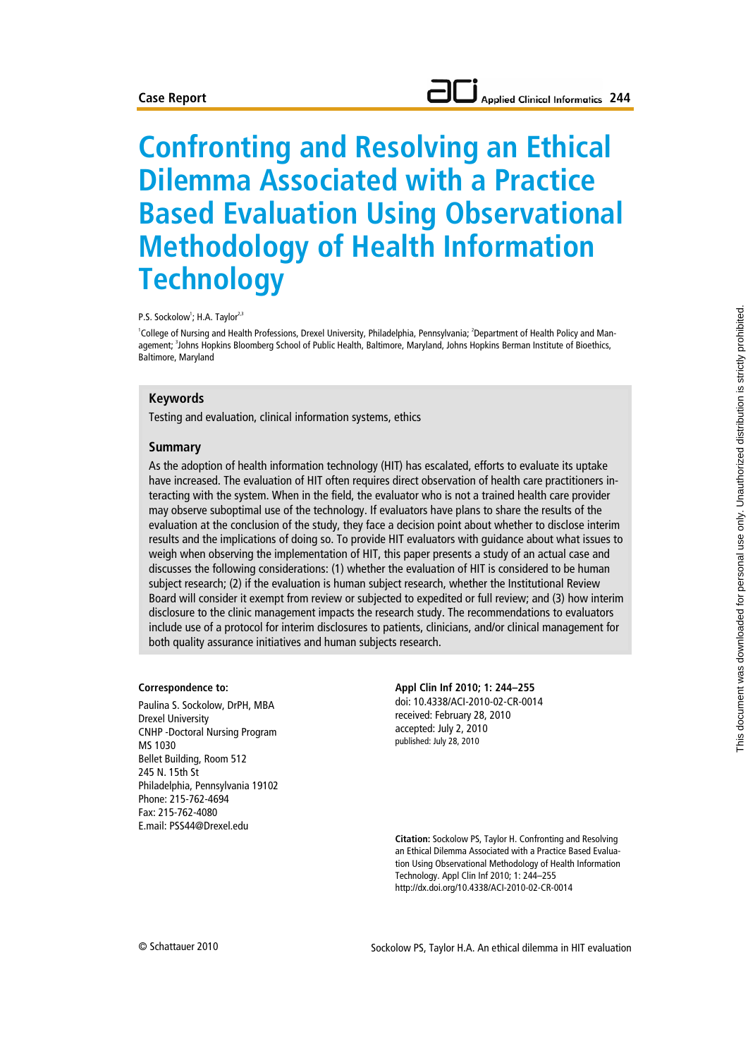# **Confronting and Resolving an Ethical Dilemma Associated with a Practice Based Evaluation Using Observational Methodology of Health Information Technology**

P.S. Sockolow<sup>1</sup>; H.A. Taylor<sup>2,3</sup>

<sup>1</sup>College of Nursing and Health Professions, Drexel University, Philadelphia, Pennsylvania; <sup>2</sup>Department of Health Policy and Management; <sup>3</sup>Johns Hopkins Bloomberg School of Public Health, Baltimore, Maryland, Johns Hopkins Berman Institute of Bioethics, Baltimore, Maryland

## **Keywords**

Testing and evaluation, clinical information systems, ethics

#### **Summary**

As the adoption of health information technology (HIT) has escalated, efforts to evaluate its uptake have increased. The evaluation of HIT often requires direct observation of health care practitioners interacting with the system. When in the field, the evaluator who is not a trained health care provider may observe suboptimal use of the technology. If evaluators have plans to share the results of the evaluation at the conclusion of the study, they face a decision point about whether to disclose interim results and the implications of doing so. To provide HIT evaluators with guidance about what issues to weigh when observing the implementation of HIT, this paper presents a study of an actual case and discusses the following considerations: (1) whether the evaluation of HIT is considered to be human subject research; (2) if the evaluation is human subject research, whether the Institutional Review Board will consider it exempt from review or subjected to expedited or full review; and (3) how interim disclosure to the clinic management impacts the research study. The recommendations to evaluators include use of a protocol for interim disclosures to patients, clinicians, and/or clinical management for both quality assurance initiatives and human subjects research.

#### **Correspondence to:**

Paulina S. Sockolow, DrPH, MBA Drexel University CNHP -Doctoral Nursing Program MS 1030 Bellet Building, Room 512 245 N. 15th St Philadelphia, Pennsylvania 19102 Phone: 215-762-4694 Fax: 215-762-4080 E.mail: PSS44@Drexel.edu

#### **Appl Clin Inf 2010; 1: 244–255** doi: 10.4338/ACI-2010-02-CR-0014 received: February 28, 2010 accepted: July 2, 2010 published: July 28, 2010

**Citation:** Sockolow PS, Taylor H. Confronting and Resolving an Ethical Dilemma Associated with a Practice Based Evaluation Using Observational Methodology of Health Information Technology. Appl Clin Inf 2010; 1: 244–255 http://dx.doi.org/10.4338/ACI-2010-02-CR-0014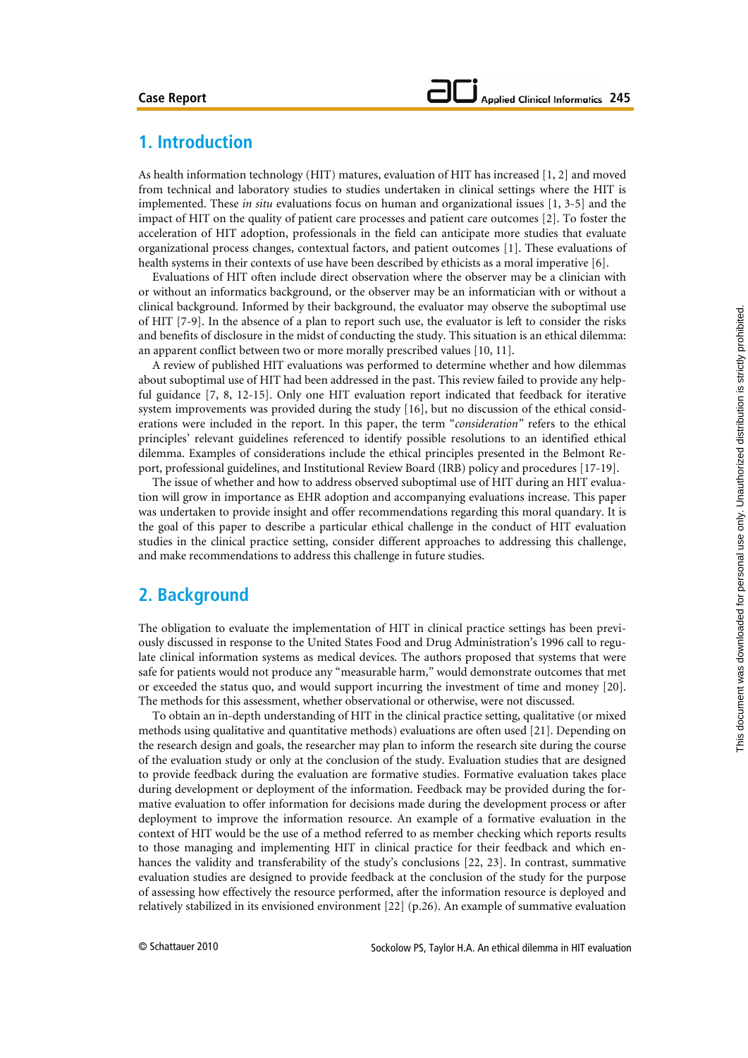# **1. Introduction**

As health information technology (HIT) matures, evaluation of HIT has increased [1, 2] and moved from technical and laboratory studies to studies undertaken in clinical settings where the HIT is implemented. These *in situ* evaluations focus on human and organizational issues [1, 3-5] and the impact of HIT on the quality of patient care processes and patient care outcomes [2]. To foster the acceleration of HIT adoption, professionals in the field can anticipate more studies that evaluate organizational process changes, contextual factors, and patient outcomes [1]. These evaluations of health systems in their contexts of use have been described by ethicists as a moral imperative [6].

Evaluations of HIT often include direct observation where the observer may be a clinician with or without an informatics background, or the observer may be an informatician with or without a clinical background. Informed by their background, the evaluator may observe the suboptimal use of HIT [7-9]. In the absence of a plan to report such use, the evaluator is left to consider the risks and benefits of disclosure in the midst of conducting the study. This situation is an ethical dilemma: an apparent conflict between two or more morally prescribed values [10, 11].

A review of published HIT evaluations was performed to determine whether and how dilemmas about suboptimal use of HIT had been addressed in the past. This review failed to provide any helpful guidance [7, 8, 12-15]. Only one HIT evaluation report indicated that feedback for iterative system improvements was provided during the study [16], but no discussion of the ethical considerations were included in the report. In this paper, the term "*consideration"* refers to the ethical principles' relevant guidelines referenced to identify possible resolutions to an identified ethical dilemma. Examples of considerations include the ethical principles presented in the Belmont Report, professional guidelines, and Institutional Review Board (IRB) policy and procedures [17-19].

The issue of whether and how to address observed suboptimal use of HIT during an HIT evaluation will grow in importance as EHR adoption and accompanying evaluations increase. This paper was undertaken to provide insight and offer recommendations regarding this moral quandary. It is the goal of this paper to describe a particular ethical challenge in the conduct of HIT evaluation studies in the clinical practice setting, consider different approaches to addressing this challenge, and make recommendations to address this challenge in future studies.

# **2. Background**

The obligation to evaluate the implementation of HIT in clinical practice settings has been previously discussed in response to the United States Food and Drug Administration's 1996 call to regulate clinical information systems as medical devices. The authors proposed that systems that were safe for patients would not produce any "measurable harm," would demonstrate outcomes that met or exceeded the status quo, and would support incurring the investment of time and money [20]. The methods for this assessment, whether observational or otherwise, were not discussed.

To obtain an in-depth understanding of HIT in the clinical practice setting, qualitative (or mixed methods using qualitative and quantitative methods) evaluations are often used [21]. Depending on the research design and goals, the researcher may plan to inform the research site during the course of the evaluation study or only at the conclusion of the study. Evaluation studies that are designed to provide feedback during the evaluation are formative studies. Formative evaluation takes place during development or deployment of the information. Feedback may be provided during the formative evaluation to offer information for decisions made during the development process or after deployment to improve the information resource. An example of a formative evaluation in the context of HIT would be the use of a method referred to as member checking which reports results to those managing and implementing HIT in clinical practice for their feedback and which enhances the validity and transferability of the study's conclusions [22, 23]. In contrast, summative evaluation studies are designed to provide feedback at the conclusion of the study for the purpose of assessing how effectively the resource performed, after the information resource is deployed and relatively stabilized in its envisioned environment [22] (p.26). An example of summative evaluation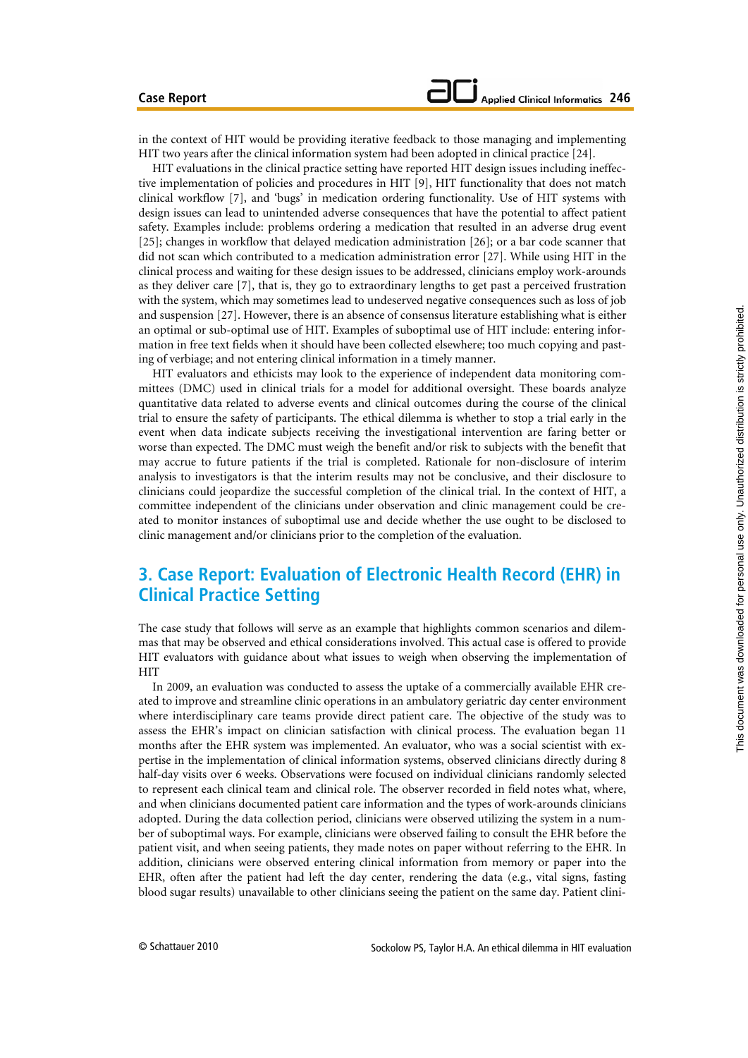in the context of HIT would be providing iterative feedback to those managing and implementing HIT two years after the clinical information system had been adopted in clinical practice [24].

HIT evaluations in the clinical practice setting have reported HIT design issues including ineffective implementation of policies and procedures in HIT [9], HIT functionality that does not match clinical workflow [7], and 'bugs' in medication ordering functionality. Use of HIT systems with design issues can lead to unintended adverse consequences that have the potential to affect patient safety. Examples include: problems ordering a medication that resulted in an adverse drug event [25]; changes in workflow that delayed medication administration [26]; or a bar code scanner that did not scan which contributed to a medication administration error [27]. While using HIT in the clinical process and waiting for these design issues to be addressed, clinicians employ work-arounds as they deliver care [7], that is, they go to extraordinary lengths to get past a perceived frustration with the system, which may sometimes lead to undeserved negative consequences such as loss of job and suspension [27]. However, there is an absence of consensus literature establishing what is either an optimal or sub-optimal use of HIT. Examples of suboptimal use of HIT include: entering information in free text fields when it should have been collected elsewhere; too much copying and pasting of verbiage; and not entering clinical information in a timely manner.

HIT evaluators and ethicists may look to the experience of independent data monitoring committees (DMC) used in clinical trials for a model for additional oversight. These boards analyze quantitative data related to adverse events and clinical outcomes during the course of the clinical trial to ensure the safety of participants. The ethical dilemma is whether to stop a trial early in the event when data indicate subjects receiving the investigational intervention are faring better or worse than expected. The DMC must weigh the benefit and/or risk to subjects with the benefit that may accrue to future patients if the trial is completed. Rationale for non-disclosure of interim analysis to investigators is that the interim results may not be conclusive, and their disclosure to clinicians could jeopardize the successful completion of the clinical trial. In the context of HIT, a committee independent of the clinicians under observation and clinic management could be created to monitor instances of suboptimal use and decide whether the use ought to be disclosed to clinic management and/or clinicians prior to the completion of the evaluation.

# **3. Case Report: Evaluation of Electronic Health Record (EHR) in Clinical Practice Setting**

The case study that follows will serve as an example that highlights common scenarios and dilemmas that may be observed and ethical considerations involved. This actual case is offered to provide HIT evaluators with guidance about what issues to weigh when observing the implementation of **HIT** 

In 2009, an evaluation was conducted to assess the uptake of a commercially available EHR created to improve and streamline clinic operations in an ambulatory geriatric day center environment where interdisciplinary care teams provide direct patient care. The objective of the study was to assess the EHR's impact on clinician satisfaction with clinical process. The evaluation began 11 months after the EHR system was implemented. An evaluator, who was a social scientist with expertise in the implementation of clinical information systems, observed clinicians directly during 8 half-day visits over 6 weeks. Observations were focused on individual clinicians randomly selected to represent each clinical team and clinical role. The observer recorded in field notes what, where, and when clinicians documented patient care information and the types of work-arounds clinicians adopted. During the data collection period, clinicians were observed utilizing the system in a number of suboptimal ways. For example, clinicians were observed failing to consult the EHR before the patient visit, and when seeing patients, they made notes on paper without referring to the EHR. In addition, clinicians were observed entering clinical information from memory or paper into the EHR, often after the patient had left the day center, rendering the data (e.g., vital signs, fasting blood sugar results) unavailable to other clinicians seeing the patient on the same day. Patient clini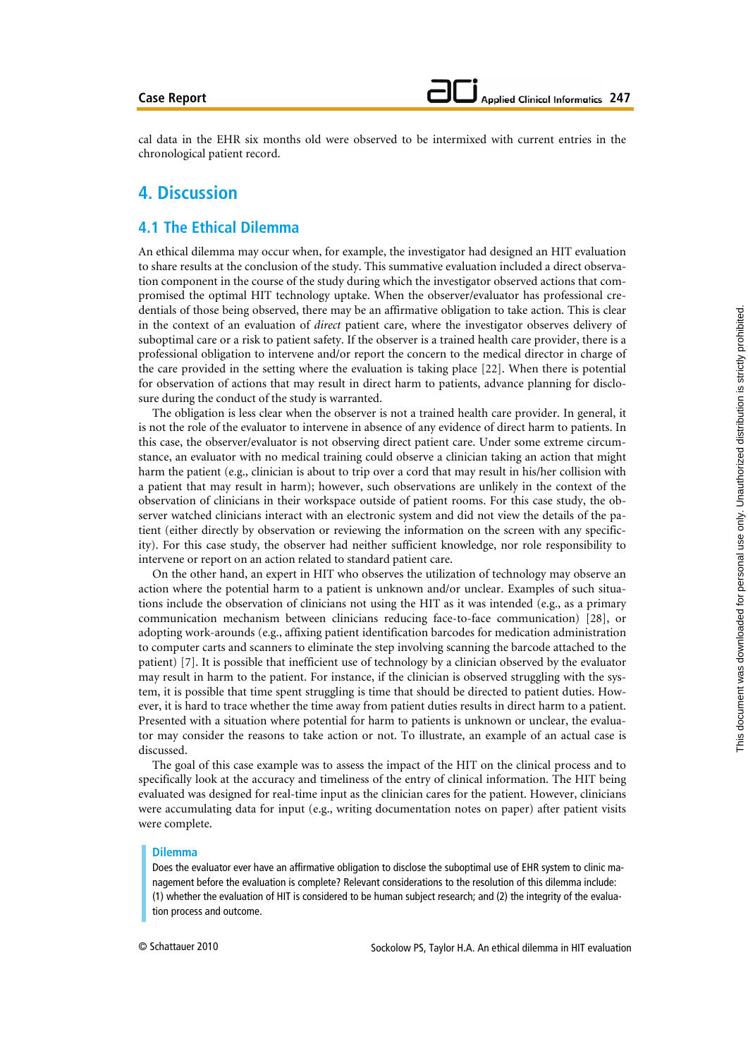cal data in the EHR six months old were observed to be intermixed with current entries in the chronological patient record.

# **4. Discussion**

## **4.1 The Ethical Dilemma**

An ethical dilemma may occur when, for example, the investigator had designed an HIT evaluation to share results at the conclusion of the study. This summative evaluation included a direct observation component in the course of the study during which the investigator observed actions that compromised the optimal HIT technology uptake. When the observer/evaluator has professional credentials of those being observed, there may be an affirmative obligation to take action. This is clear in the context of an evaluation of *direct* patient care, where the investigator observes delivery of suboptimal care or a risk to patient safety. If the observer is a trained health care provider, there is a professional obligation to intervene and/or report the concern to the medical director in charge of the care provided in the setting where the evaluation is taking place [22]. When there is potential for observation of actions that may result in direct harm to patients, advance planning for disclosure during the conduct of the study is warranted.

The obligation is less clear when the observer is not a trained health care provider. In general, it is not the role of the evaluator to intervene in absence of any evidence of direct harm to patients. In this case, the observer/evaluator is not observing direct patient care. Under some extreme circumstance, an evaluator with no medical training could observe a clinician taking an action that might harm the patient (e.g., clinician is about to trip over a cord that may result in his/her collision with a patient that may result in harm); however, such observations are unlikely in the context of the observation of clinicians in their workspace outside of patient rooms. For this case study, the observer watched clinicians interact with an electronic system and did not view the details of the patient (either directly by observation or reviewing the information on the screen with any specificity). For this case study, the observer had neither sufficient knowledge, nor role responsibility to intervene or report on an action related to standard patient care.

On the other hand, an expert in HIT who observes the utilization of technology may observe an action where the potential harm to a patient is unknown and/or unclear. Examples of such situations include the observation of clinicians not using the HIT as it was intended (e.g., as a primary communication mechanism between clinicians reducing face-to-face communication) [28], or adopting work-arounds (e.g., affixing patient identification barcodes for medication administration to computer carts and scanners to eliminate the step involving scanning the barcode attached to the patient) [7]. It is possible that inefficient use of technology by a clinician observed by the evaluator may result in harm to the patient. For instance, if the clinician is observed struggling with the system, it is possible that time spent struggling is time that should be directed to patient duties. However, it is hard to trace whether the time away from patient duties results in direct harm to a patient. Presented with a situation where potential for harm to patients is unknown or unclear, the evaluator may consider the reasons to take action or not. To illustrate, an example of an actual case is discussed.

The goal of this case example was to assess the impact of the HIT on the clinical process and to specifically look at the accuracy and timeliness of the entry of clinical information. The HIT being evaluated was designed for real-time input as the clinician cares for the patient. However, clinicians were accumulating data for input (e.g., writing documentation notes on paper) after patient visits were complete.

#### **Dilemma**

Does the evaluator ever have an affirmative obligation to disclose the suboptimal use of EHR system to clinic management before the evaluation is complete? Relevant considerations to the resolution of this dilemma include: (1) whether the evaluation of HIT is considered to be human subject research; and (2) the integrity of the evaluation process and outcome.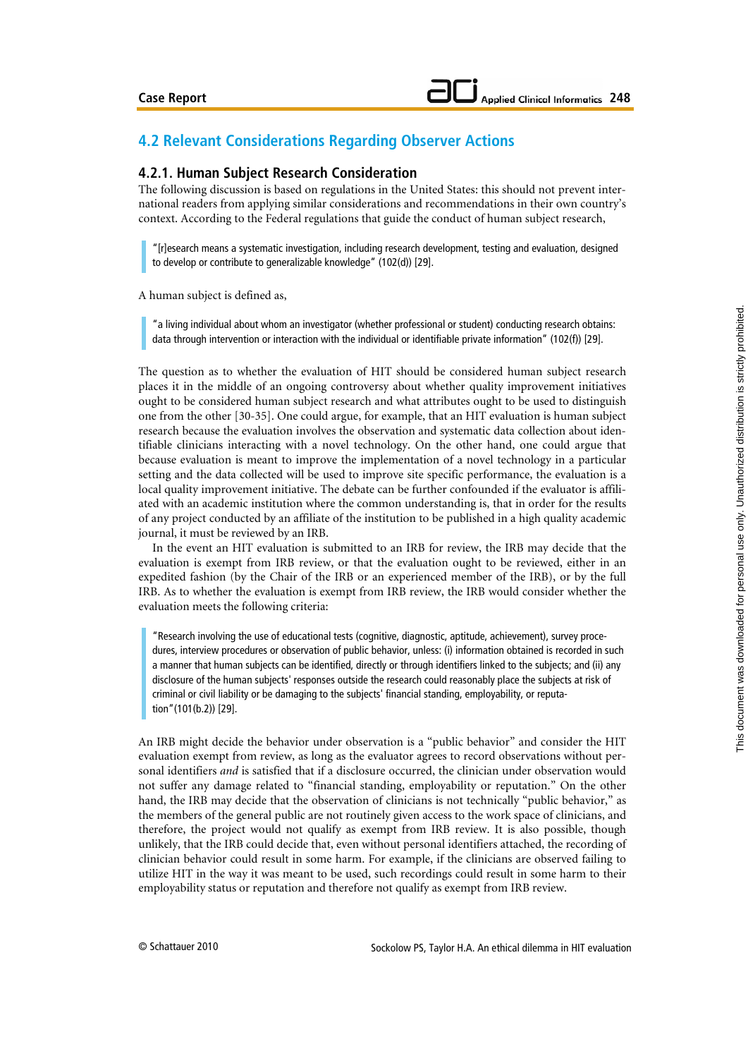# **4.2 Relevant Considerations Regarding Observer Actions**

## **4.2.1. Human Subject Research Consideration**

The following discussion is based on regulations in the United States: this should not prevent international readers from applying similar considerations and recommendations in their own country's context. According to the Federal regulations that guide the conduct of human subject research,

"[r]esearch means a systematic investigation, including research development, testing and evaluation, designed to develop or contribute to generalizable knowledge" (102(d)) [29].

A human subject is defined as,

"a living individual about whom an investigator (whether professional or student) conducting research obtains: data through intervention or interaction with the individual or identifiable private information" (102(f)) [29].

The question as to whether the evaluation of HIT should be considered human subject research places it in the middle of an ongoing controversy about whether quality improvement initiatives ought to be considered human subject research and what attributes ought to be used to distinguish one from the other [30-35]. One could argue, for example, that an HIT evaluation is human subject research because the evaluation involves the observation and systematic data collection about identifiable clinicians interacting with a novel technology. On the other hand, one could argue that because evaluation is meant to improve the implementation of a novel technology in a particular setting and the data collected will be used to improve site specific performance, the evaluation is a local quality improvement initiative. The debate can be further confounded if the evaluator is affiliated with an academic institution where the common understanding is, that in order for the results of any project conducted by an affiliate of the institution to be published in a high quality academic journal, it must be reviewed by an IRB.

In the event an HIT evaluation is submitted to an IRB for review, the IRB may decide that the evaluation is exempt from IRB review, or that the evaluation ought to be reviewed, either in an expedited fashion (by the Chair of the IRB or an experienced member of the IRB), or by the full IRB. As to whether the evaluation is exempt from IRB review, the IRB would consider whether the evaluation meets the following criteria:

"Research involving the use of educational tests (cognitive, diagnostic, aptitude, achievement), survey procedures, interview procedures or observation of public behavior, unless: (i) information obtained is recorded in such a manner that human subjects can be identified, directly or through identifiers linked to the subjects; and (ii) any disclosure of the human subjects' responses outside the research could reasonably place the subjects at risk of criminal or civil liability or be damaging to the subjects' financial standing, employability, or reputation"(101(b.2)) [29].

An IRB might decide the behavior under observation is a "public behavior" and consider the HIT evaluation exempt from review, as long as the evaluator agrees to record observations without personal identifiers *and* is satisfied that if a disclosure occurred, the clinician under observation would not suffer any damage related to "financial standing, employability or reputation." On the other hand, the IRB may decide that the observation of clinicians is not technically "public behavior," as the members of the general public are not routinely given access to the work space of clinicians, and therefore, the project would not qualify as exempt from IRB review. It is also possible, though unlikely, that the IRB could decide that, even without personal identifiers attached, the recording of clinician behavior could result in some harm. For example, if the clinicians are observed failing to utilize HIT in the way it was meant to be used, such recordings could result in some harm to their employability status or reputation and therefore not qualify as exempt from IRB review.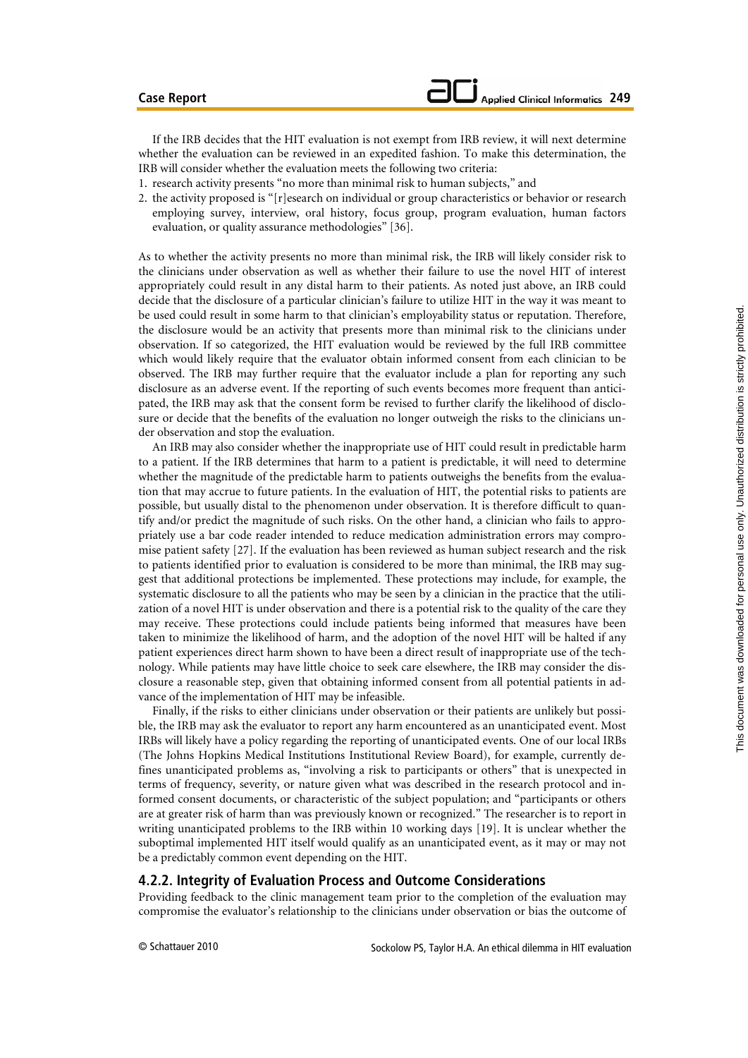If the IRB decides that the HIT evaluation is not exempt from IRB review, it will next determine whether the evaluation can be reviewed in an expedited fashion. To make this determination, the IRB will consider whether the evaluation meets the following two criteria:

- 1. research activity presents "no more than minimal risk to human subjects," and
- 2. the activity proposed is "[r]esearch on individual or group characteristics or behavior or research employing survey, interview, oral history, focus group, program evaluation, human factors evaluation, or quality assurance methodologies" [36].

As to whether the activity presents no more than minimal risk, the IRB will likely consider risk to the clinicians under observation as well as whether their failure to use the novel HIT of interest appropriately could result in any distal harm to their patients. As noted just above, an IRB could decide that the disclosure of a particular clinician's failure to utilize HIT in the way it was meant to be used could result in some harm to that clinician's employability status or reputation. Therefore, the disclosure would be an activity that presents more than minimal risk to the clinicians under observation. If so categorized, the HIT evaluation would be reviewed by the full IRB committee which would likely require that the evaluator obtain informed consent from each clinician to be observed. The IRB may further require that the evaluator include a plan for reporting any such disclosure as an adverse event. If the reporting of such events becomes more frequent than anticipated, the IRB may ask that the consent form be revised to further clarify the likelihood of disclosure or decide that the benefits of the evaluation no longer outweigh the risks to the clinicians under observation and stop the evaluation.

An IRB may also consider whether the inappropriate use of HIT could result in predictable harm to a patient. If the IRB determines that harm to a patient is predictable, it will need to determine whether the magnitude of the predictable harm to patients outweighs the benefits from the evaluation that may accrue to future patients. In the evaluation of HIT, the potential risks to patients are possible, but usually distal to the phenomenon under observation. It is therefore difficult to quantify and/or predict the magnitude of such risks. On the other hand, a clinician who fails to appropriately use a bar code reader intended to reduce medication administration errors may compromise patient safety [27]. If the evaluation has been reviewed as human subject research and the risk to patients identified prior to evaluation is considered to be more than minimal, the IRB may suggest that additional protections be implemented. These protections may include, for example, the systematic disclosure to all the patients who may be seen by a clinician in the practice that the utilization of a novel HIT is under observation and there is a potential risk to the quality of the care they may receive. These protections could include patients being informed that measures have been taken to minimize the likelihood of harm, and the adoption of the novel HIT will be halted if any patient experiences direct harm shown to have been a direct result of inappropriate use of the technology. While patients may have little choice to seek care elsewhere, the IRB may consider the disclosure a reasonable step, given that obtaining informed consent from all potential patients in advance of the implementation of HIT may be infeasible.

Finally, if the risks to either clinicians under observation or their patients are unlikely but possible, the IRB may ask the evaluator to report any harm encountered as an unanticipated event. Most IRBs will likely have a policy regarding the reporting of unanticipated events. One of our local IRBs (The Johns Hopkins Medical Institutions Institutional Review Board), for example, currently defines unanticipated problems as, "involving a risk to participants or others" that is unexpected in terms of frequency, severity, or nature given what was described in the research protocol and informed consent documents, or characteristic of the subject population; and "participants or others are at greater risk of harm than was previously known or recognized." The researcher is to report in writing unanticipated problems to the IRB within 10 working days [19]. It is unclear whether the suboptimal implemented HIT itself would qualify as an unanticipated event, as it may or may not be a predictably common event depending on the HIT.

## **4.2.2. Integrity of Evaluation Process and Outcome Considerations**

Providing feedback to the clinic management team prior to the completion of the evaluation may compromise the evaluator's relationship to the clinicians under observation or bias the outcome of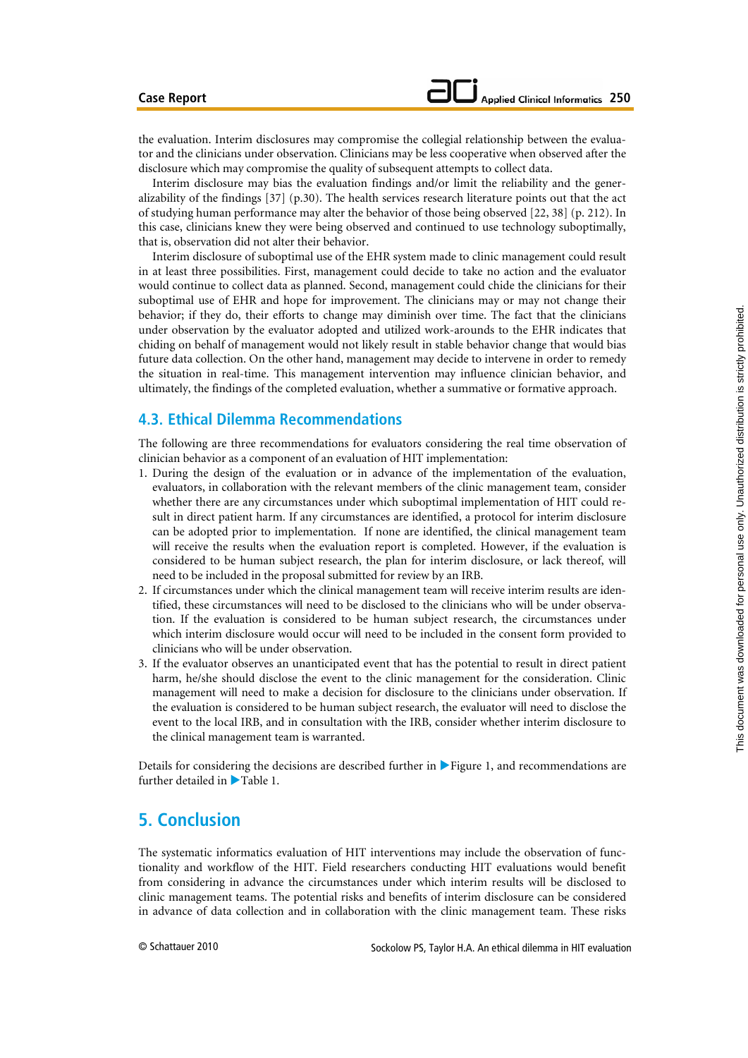the evaluation. Interim disclosures may compromise the collegial relationship between the evaluator and the clinicians under observation. Clinicians may be less cooperative when observed after the disclosure which may compromise the quality of subsequent attempts to collect data.

Interim disclosure may bias the evaluation findings and/or limit the reliability and the generalizability of the findings [37] (p.30). The health services research literature points out that the act of studying human performance may alter the behavior of those being observed [22, 38] (p. 212). In this case, clinicians knew they were being observed and continued to use technology suboptimally, that is, observation did not alter their behavior.

Interim disclosure of suboptimal use of the EHR system made to clinic management could result in at least three possibilities. First, management could decide to take no action and the evaluator would continue to collect data as planned. Second, management could chide the clinicians for their suboptimal use of EHR and hope for improvement. The clinicians may or may not change their behavior; if they do, their efforts to change may diminish over time. The fact that the clinicians under observation by the evaluator adopted and utilized work-arounds to the EHR indicates that chiding on behalf of management would not likely result in stable behavior change that would bias future data collection. On the other hand, management may decide to intervene in order to remedy the situation in real-time. This management intervention may influence clinician behavior, and ultimately, the findings of the completed evaluation, whether a summative or formative approach.

# **4.3. Ethical Dilemma Recommendations**

The following are three recommendations for evaluators considering the real time observation of clinician behavior as a component of an evaluation of HIT implementation:

- 1. During the design of the evaluation or in advance of the implementation of the evaluation, evaluators, in collaboration with the relevant members of the clinic management team, consider whether there are any circumstances under which suboptimal implementation of HIT could result in direct patient harm. If any circumstances are identified, a protocol for interim disclosure can be adopted prior to implementation. If none are identified, the clinical management team will receive the results when the evaluation report is completed. However, if the evaluation is considered to be human subject research, the plan for interim disclosure, or lack thereof, will need to be included in the proposal submitted for review by an IRB.
- 2. If circumstances under which the clinical management team will receive interim results are identified, these circumstances will need to be disclosed to the clinicians who will be under observation. If the evaluation is considered to be human subject research, the circumstances under which interim disclosure would occur will need to be included in the consent form provided to clinicians who will be under observation.
- 3. If the evaluator observes an unanticipated event that has the potential to result in direct patient harm, he/she should disclose the event to the clinic management for the consideration. Clinic management will need to make a decision for disclosure to the clinicians under observation. If the evaluation is considered to be human subject research, the evaluator will need to disclose the event to the local IRB, and in consultation with the IRB, consider whether interim disclosure to the clinical management team is warranted.

Details for considering the decisions are described further in  $\blacktriangleright$  Figure 1, and recommendations are further detailed in  $\blacktriangleright$  Table 1.

# **5. Conclusion**

The systematic informatics evaluation of HIT interventions may include the observation of functionality and workflow of the HIT. Field researchers conducting HIT evaluations would benefit from considering in advance the circumstances under which interim results will be disclosed to clinic management teams. The potential risks and benefits of interim disclosure can be considered in advance of data collection and in collaboration with the clinic management team. These risks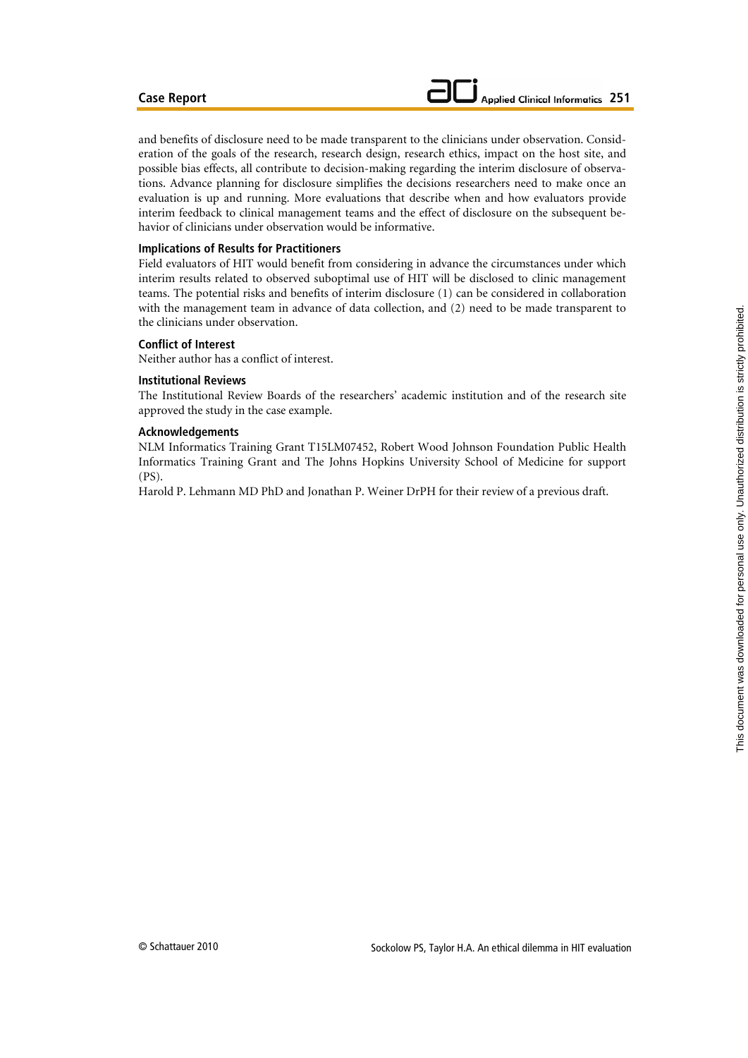# **Applied Clinical Informatics 251**

and benefits of disclosure need to be made transparent to the clinicians under observation. Consideration of the goals of the research, research design, research ethics, impact on the host site, and possible bias effects, all contribute to decision-making regarding the interim disclosure of observations. Advance planning for disclosure simplifies the decisions researchers need to make once an evaluation is up and running. More evaluations that describe when and how evaluators provide interim feedback to clinical management teams and the effect of disclosure on the subsequent behavior of clinicians under observation would be informative.

#### **Implications of Results for Practitioners**

Field evaluators of HIT would benefit from considering in advance the circumstances under which interim results related to observed suboptimal use of HIT will be disclosed to clinic management teams. The potential risks and benefits of interim disclosure (1) can be considered in collaboration with the management team in advance of data collection, and (2) need to be made transparent to the clinicians under observation.

#### **Conflict of Interest**

Neither author has a conflict of interest.

#### **Institutional Reviews**

The Institutional Review Boards of the researchers' academic institution and of the research site approved the study in the case example.

#### **Acknowledgements**

NLM Informatics Training Grant T15LM07452, Robert Wood Johnson Foundation Public Health Informatics Training Grant and The Johns Hopkins University School of Medicine for support (PS).

Harold P. Lehmann MD PhD and Jonathan P. Weiner DrPH for their review of a previous draft.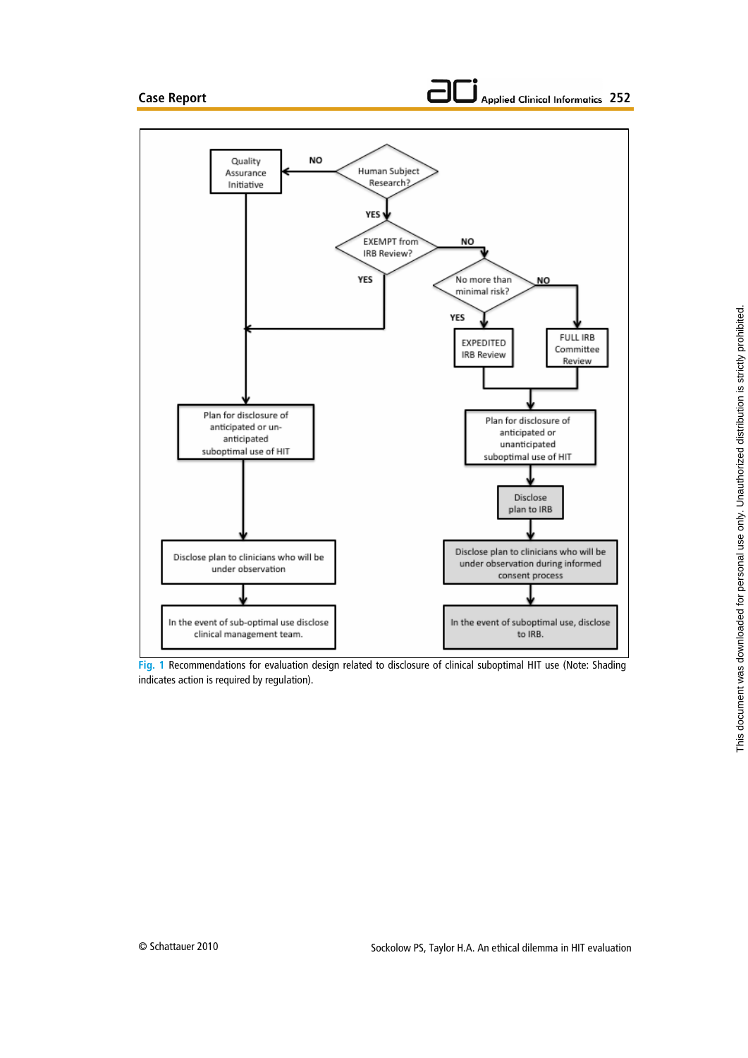



**Fig. 1** Recommendations for evaluation design related to disclosure of clinical suboptimal HIT use (Note: Shading indicates action is required by regulation).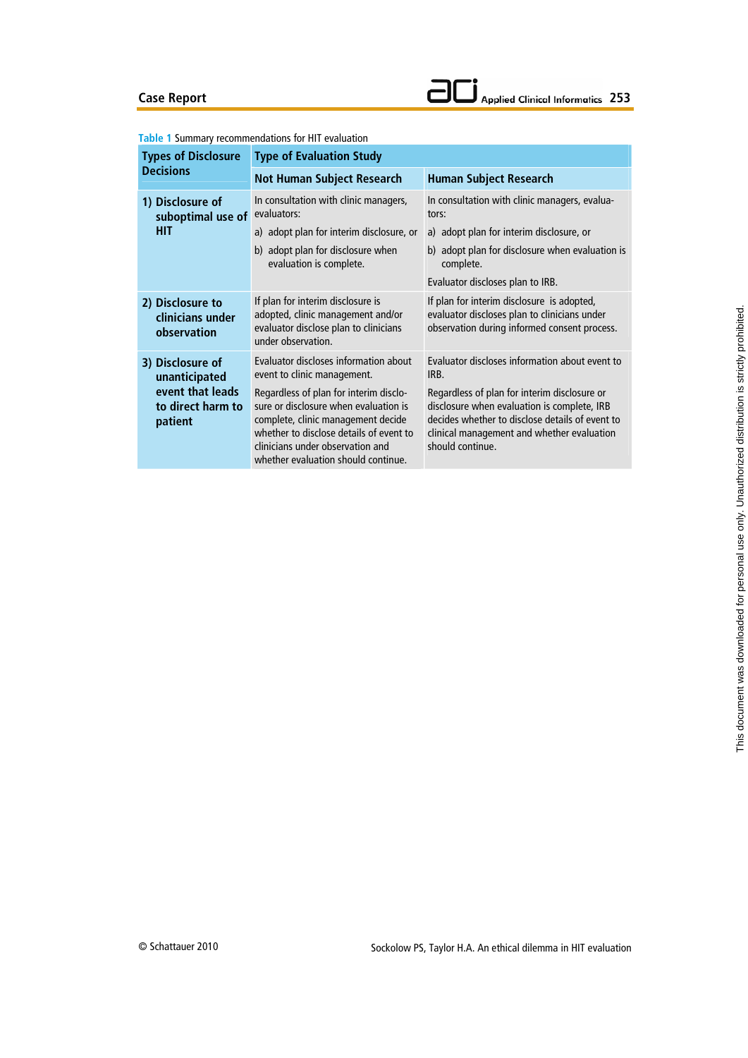

| <b>Types of Disclosure</b><br><b>Decisions</b>                                        | <b>Type of Evaluation Study</b>                                                                                                                                                                                                             |                                                                                                                                                                                                                  |
|---------------------------------------------------------------------------------------|---------------------------------------------------------------------------------------------------------------------------------------------------------------------------------------------------------------------------------------------|------------------------------------------------------------------------------------------------------------------------------------------------------------------------------------------------------------------|
|                                                                                       | <b>Not Human Subject Research</b>                                                                                                                                                                                                           | <b>Human Subject Research</b>                                                                                                                                                                                    |
| 1) Disclosure of<br>suboptimal use of<br><b>HIT</b>                                   | In consultation with clinic managers,<br>evaluators:                                                                                                                                                                                        | In consultation with clinic managers, evalua-<br>tors:                                                                                                                                                           |
|                                                                                       | a) adopt plan for interim disclosure, or                                                                                                                                                                                                    | a) adopt plan for interim disclosure, or                                                                                                                                                                         |
|                                                                                       | b) adopt plan for disclosure when<br>evaluation is complete.                                                                                                                                                                                | b) adopt plan for disclosure when evaluation is<br>complete.                                                                                                                                                     |
|                                                                                       |                                                                                                                                                                                                                                             | Evaluator discloses plan to IRB.                                                                                                                                                                                 |
| 2) Disclosure to<br>clinicians under<br>observation                                   | If plan for interim disclosure is<br>adopted, clinic management and/or<br>evaluator disclose plan to clinicians<br>under observation.                                                                                                       | If plan for interim disclosure is adopted,<br>evaluator discloses plan to clinicians under<br>observation during informed consent process.                                                                       |
| 3) Disclosure of<br>unanticipated<br>event that leads<br>to direct harm to<br>patient | Evaluator discloses information about<br>event to clinic management.                                                                                                                                                                        | Evaluator discloses information about event to<br>IRB.                                                                                                                                                           |
|                                                                                       | Regardless of plan for interim disclo-<br>sure or disclosure when evaluation is<br>complete, clinic management decide<br>whether to disclose details of event to<br>clinicians under observation and<br>whether evaluation should continue. | Regardless of plan for interim disclosure or<br>disclosure when evaluation is complete, IRB<br>decides whether to disclose details of event to<br>clinical management and whether evaluation<br>should continue. |

**Table 1** Summary recommendations for HIT evaluation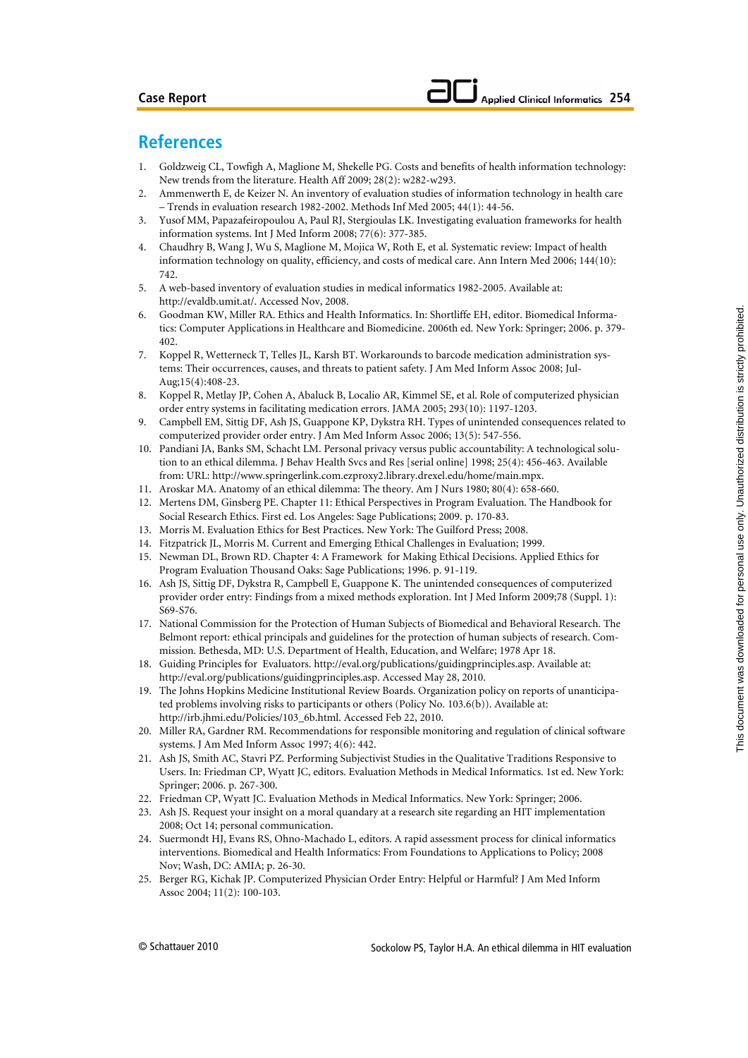# **References**

- 1. Goldzweig CL, Towfigh A, Maglione M, Shekelle PG. Costs and benefits of health information technology: New trends from the literature. Health Aff 2009; 28(2): w282-w293.
- 2. Ammenwerth E, de Keizer N. An inventory of evaluation studies of information technology in health care – Trends in evaluation research 1982-2002. Methods Inf Med 2005; 44(1): 44-56.
- 3. Yusof MM, Papazafeiropoulou A, Paul RJ, Stergioulas LK. Investigating evaluation frameworks for health information systems. Int J Med Inform 2008; 77(6): 377-385.
- 4. Chaudhry B, Wang J, Wu S, Maglione M, Mojica W, Roth E, et al. Systematic review: Impact of health information technology on quality, efficiency, and costs of medical care. Ann Intern Med 2006; 144(10): 742.
- 5. A web-based inventory of evaluation studies in medical informatics 1982-2005. Available at: http://evaldb.umit.at/. Accessed Nov, 2008.
- 6. Goodman KW, Miller RA. Ethics and Health Informatics. In: Shortliffe EH, editor. Biomedical Informatics: Computer Applications in Healthcare and Biomedicine. 2006th ed. New York: Springer; 2006. p. 379- 402.
- 7. Koppel R, Wetterneck T, Telles JL, Karsh BT. Workarounds to barcode medication administration systems: Their occurrences, causes, and threats to patient safety. J Am Med Inform Assoc 2008; Jul-Aug;15(4):408-23.
- 8. Koppel R, Metlay JP, Cohen A, Abaluck B, Localio AR, Kimmel SE, et al. Role of computerized physician order entry systems in facilitating medication errors. JAMA 2005; 293(10): 1197-1203.
- 9. Campbell EM, Sittig DF, Ash JS, Guappone KP, Dykstra RH. Types of unintended consequences related to computerized provider order entry. J Am Med Inform Assoc 2006; 13(5): 547-556.
- 10. Pandiani JA, Banks SM, Schacht LM. Personal privacy versus public accountability: A technological solution to an ethical dilemma. J Behav Health Svcs and Res [serial online] 1998; 25(4): 456-463. Available from: URL: http://www.springerlink.com.ezproxy2.library.drexel.edu/home/main.mpx.
- 11. Aroskar MA. Anatomy of an ethical dilemma: The theory. Am J Nurs 1980; 80(4): 658-660.
- 12. Mertens DM, Ginsberg PE. Chapter 11: Ethical Perspectives in Program Evaluation. The Handbook for Social Research Ethics. First ed. Los Angeles: Sage Publications; 2009. p. 170-83.
- 13. Morris M. Evaluation Ethics for Best Practices. New York: The Guilford Press; 2008.
- 14. Fitzpatrick JL, Morris M. Current and Emerging Ethical Challenges in Evaluation; 1999.
- 15. Newman DL, Brown RD. Chapter 4: A Framework for Making Ethical Decisions. Applied Ethics for Program Evaluation Thousand Oaks: Sage Publications; 1996. p. 91-119.
- 16. Ash JS, Sittig DF, Dykstra R, Campbell E, Guappone K. The unintended consequences of computerized provider order entry: Findings from a mixed methods exploration. Int J Med Inform 2009;78 (Suppl. 1): S69-S76.
- 17. National Commission for the Protection of Human Subjects of Biomedical and Behavioral Research. The Belmont report: ethical principals and guidelines for the protection of human subjects of research. Commission. Bethesda, MD: U.S. Department of Health, Education, and Welfare; 1978 Apr 18.
- 18. Guiding Principles for Evaluators. http://eval.org/publications/guidingprinciples.asp. Available at: http://eval.org/publications/guidingprinciples.asp. Accessed May 28, 2010.
- 19. The Johns Hopkins Medicine Institutional Review Boards. Organization policy on reports of unanticipated problems involving risks to participants or others (Policy No. 103.6(b)). Available at: http://irb.jhmi.edu/Policies/103\_6b.html. Accessed Feb 22, 2010.
- 20. Miller RA, Gardner RM. Recommendations for responsible monitoring and regulation of clinical software systems. J Am Med Inform Assoc 1997; 4(6): 442.
- 21. Ash JS, Smith AC, Stavri PZ. Performing Subjectivist Studies in the Qualitative Traditions Responsive to Users. In: Friedman CP, Wyatt JC, editors. Evaluation Methods in Medical Informatics. 1st ed. New York: Springer; 2006. p. 267-300.
- 22. Friedman CP, Wyatt JC. Evaluation Methods in Medical Informatics. New York: Springer; 2006.
- 23. Ash JS. Request your insight on a moral quandary at a research site regarding an HIT implementation 2008; Oct 14; personal communication.
- 24. Suermondt HJ, Evans RS, Ohno-Machado L, editors. A rapid assessment process for clinical informatics interventions. Biomedical and Health Informatics: From Foundations to Applications to Policy; 2008 Nov; Wash, DC: AMIA; p. 26-30.
- 25. Berger RG, Kichak JP. Computerized Physician Order Entry: Helpful or Harmful? J Am Med Inform Assoc 2004; 11(2): 100-103.